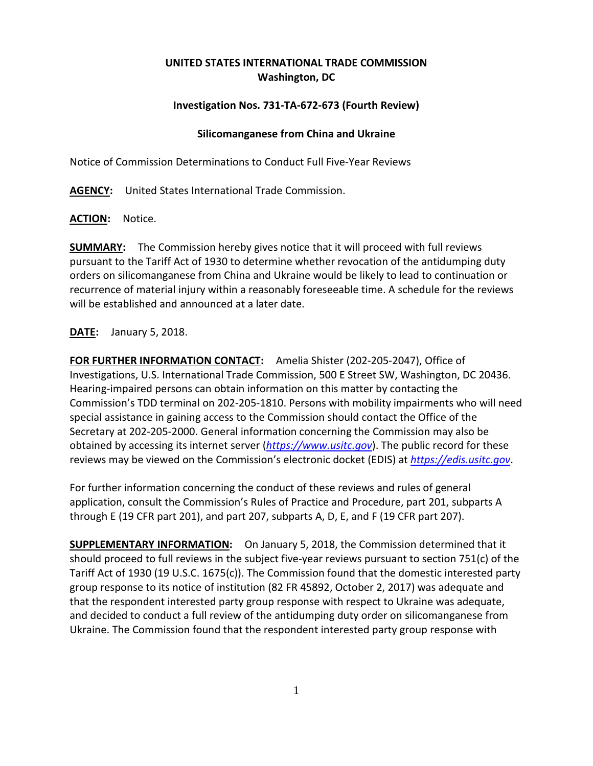## **UNITED STATES INTERNATIONAL TRADE COMMISSION Washington, DC**

## **Investigation Nos. 731-TA-672-673 (Fourth Review)**

## **Silicomanganese from China and Ukraine**

Notice of Commission Determinations to Conduct Full Five-Year Reviews

**AGENCY:** United States International Trade Commission.

**ACTION:** Notice.

**SUMMARY:** The Commission hereby gives notice that it will proceed with full reviews pursuant to the Tariff Act of 1930 to determine whether revocation of the antidumping duty orders on silicomanganese from China and Ukraine would be likely to lead to continuation or recurrence of material injury within a reasonably foreseeable time. A schedule for the reviews will be established and announced at a later date.

**DATE:** January 5, 2018.

**FOR FURTHER INFORMATION CONTACT:** Amelia Shister (202-205-2047), Office of Investigations, U.S. International Trade Commission, 500 E Street SW, Washington, DC 20436. Hearing-impaired persons can obtain information on this matter by contacting the Commission's TDD terminal on 202-205-1810. Persons with mobility impairments who will need special assistance in gaining access to the Commission should contact the Office of the Secretary at 202-205-2000. General information concerning the Commission may also be obtained by accessing its internet server (*[https://www.usitc.gov](https://www.usitc.gov/)*). The public record for these reviews may be viewed on the Commission's electronic docket (EDIS) at *[https://edis.usitc.gov](https://edis.usitc.gov/)*.

For further information concerning the conduct of these reviews and rules of general application, consult the Commission's Rules of Practice and Procedure, part 201, subparts A through E (19 CFR part 201), and part 207, subparts A, D, E, and F (19 CFR part 207).

**SUPPLEMENTARY INFORMATION:** On January 5, 2018, the Commission determined that it should proceed to full reviews in the subject five-year reviews pursuant to section 751(c) of the Tariff Act of 1930 (19 U.S.C. 1675(c)). The Commission found that the domestic interested party group response to its notice of institution (82 FR 45892, October 2, 2017) was adequate and that the respondent interested party group response with respect to Ukraine was adequate, and decided to conduct a full review of the antidumping duty order on silicomanganese from Ukraine. The Commission found that the respondent interested party group response with